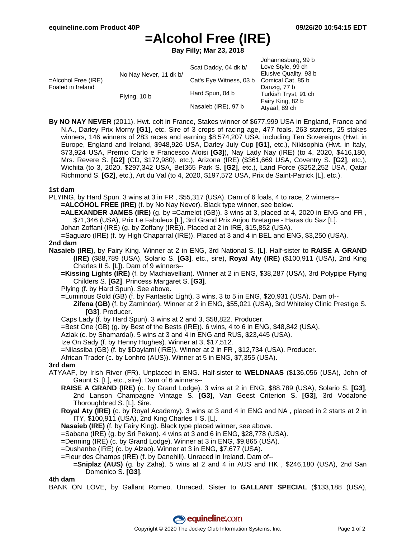Johannesburg, 99 b

# **=Alcohol Free (IRE)**

**Bay Filly; Mar 23, 2018**

| Scat Daddy, 04 dk b/                           | Jonannesburg, 99 b<br>Love Style, 99 ch |
|------------------------------------------------|-----------------------------------------|
| No Nay Never, 11 dk b/                         | Elusive Quality, 93 b                   |
| =Alcohol Free (IRE)<br>Cat's Eye Witness, 03 b | Comical Cat, 85 b                       |
| Foaled in Ireland                              | Danzig, 77 b                            |
| Hard Spun, 04 b<br>Plying, 10 b                | Turkish Tryst, 91 ch                    |
|                                                | Fairy King, 82 b                        |
| Nasaieb (IRE), 97 b                            | Atyaaf, 89 ch                           |

**By NO NAY NEVER** (2011). Hwt. colt in France, Stakes winner of \$677,999 USA in England, France and N.A., Darley Prix Morny **[G1]**, etc. Sire of 3 crops of racing age, 477 foals, 263 starters, 25 stakes winners, 146 winners of 283 races and earning \$8,574,207 USA, including Ten Sovereigns (Hwt. in Europe, England and Ireland, \$948,926 USA, Darley July Cup **[G1]**, etc.), Nikisophia (Hwt. in Italy, \$73,924 USA, Premio Carlo e Francesco Aloisi **[G3]**), Nay Lady Nay (IRE) (to 4, 2020, \$416,180, Mrs. Revere S. **[G2]** (CD, \$172,980), etc.), Arizona (IRE) (\$361,669 USA, Coventry S. **[G2]**, etc.), Wichita (to 3, 2020, \$297,342 USA, Bet365 Park S. **[G2]**, etc.), Land Force (\$252,252 USA, Qatar Richmond S. **[G2]**, etc.), Art du Val (to 4, 2020, \$197,572 USA, Prix de Saint-Patrick [L], etc.).

## **1st dam**

PLYING, by Hard Spun. 3 wins at 3 in FR , \$55,317 (USA). Dam of 6 foals, 4 to race, 2 winners--

- **=ALCOHOL FREE (IRE)** (f. by No Nay Never). Black type winner, see below.
- **=ALEXANDER JAMES (IRE)** (g. by =Camelot (GB)). 3 wins at 3, placed at 4, 2020 in ENG and FR, \$71,346 (USA), Prix Le Fabuleux [L], 3rd Grand Prix Anjou Bretagne - Haras du Saz [L].
- Johan Zoffani (IRE) (g. by Zoffany (IRE)). Placed at 2 in IRE, \$15,852 (USA).
- =Saguaro (IRE) (f. by High Chaparral (IRE)). Placed at 3 and 4 in BEL and ENG, \$3,250 (USA).

#### **2nd dam**

- **Nasaieb (IRE)**, by Fairy King. Winner at 2 in ENG, 3rd National S. [L]. Half-sister to **RAISE A GRAND (IRE)** (\$88,789 (USA), Solario S. **[G3]**, etc., sire), **Royal Aty (IRE)** (\$100,911 (USA), 2nd King Charles II S. [L]). Dam of 9 winners--
	- **=Kissing Lights (IRE)** (f. by Machiavellian). Winner at 2 in ENG, \$38,287 (USA), 3rd Polypipe Flying Childers S. **[G2]**, Princess Margaret S. **[G3]**.

Plying (f. by Hard Spun). See above.

- =Luminous Gold (GB) (f. by Fantastic Light). 3 wins, 3 to 5 in ENG, \$20,931 (USA). Dam of--
	- **Zifena (GB)** (f. by Zamindar). Winner at 2 in ENG, \$55,021 (USA), 3rd Whiteley Clinic Prestige S. **[G3]**. Producer.
- Caps Lady (f. by Hard Spun). 3 wins at 2 and 3, \$58,822. Producer.

=Best One (GB) (g. by Best of the Bests (IRE)). 6 wins, 4 to 6 in ENG, \$48,842 (USA).

Azlak (c. by Shamardal). 5 wins at 3 and 4 in ENG and RUS, \$23,445 (USA).

Ize On Sady (f. by Henny Hughes). Winner at 3, \$17,512.

=Nilassiba (GB) (f. by \$Daylami (IRE)). Winner at 2 in FR , \$12,734 (USA). Producer.

African Trader (c. by Lonhro (AUS)). Winner at 5 in ENG, \$7,355 (USA).

## **3rd dam**

- ATYAAF, by Irish River (FR). Unplaced in ENG. Half-sister to **WELDNAAS** (\$136,056 (USA), John of Gaunt S. [L], etc., sire). Dam of 6 winners--
	- **RAISE A GRAND (IRE)** (c. by Grand Lodge). 3 wins at 2 in ENG, \$88,789 (USA), Solario S. **[G3]**, 2nd Lanson Champagne Vintage S. **[G3]**, Van Geest Criterion S. **[G3]**, 3rd Vodafone Thoroughbred S. [L]. Sire.
	- **Royal Aty (IRE)** (c. by Royal Academy). 3 wins at 3 and 4 in ENG and NA , placed in 2 starts at 2 in ITY, \$100,911 (USA), 2nd King Charles II S. [L].
	- **Nasaieb (IRE)** (f. by Fairy King). Black type placed winner, see above.

=Sabana (IRE) (g. by Sri Pekan). 4 wins at 3 and 6 in ENG, \$28,778 (USA).

=Denning (IRE) (c. by Grand Lodge). Winner at 3 in ENG, \$9,865 (USA).

- =Dushanbe (IRE) (c. by Alzao). Winner at 3 in ENG, \$7,677 (USA).
- =Fleur des Champs (IRE) (f. by Danehill). Unraced in Ireland. Dam of--
- **=Sniplaz (AUS)** (g. by Zaha). 5 wins at 2 and 4 in AUS and HK , \$246,180 (USA), 2nd San Domenico S. **[G3]**.

**4th dam**

BANK ON LOVE, by Gallant Romeo. Unraced. Sister to **GALLANT SPECIAL** (\$133,188 (USA),